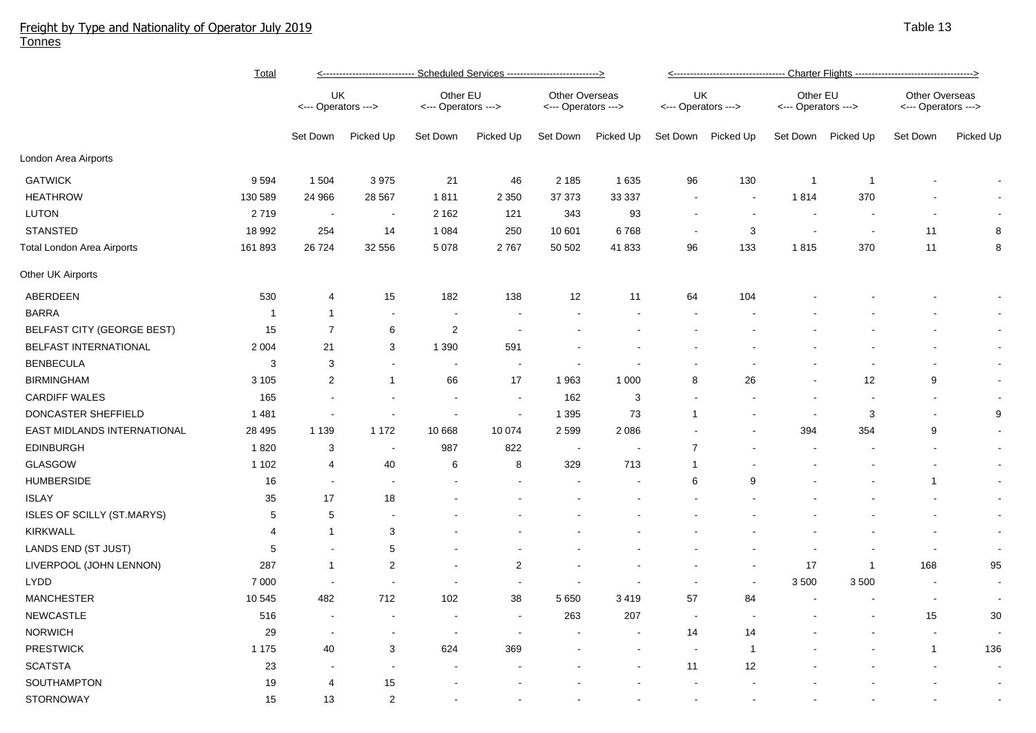## Freight by Type and Nationality of Operator July 2019 Tonnes

|                                    | <u>Total</u>   | Scheduled Services ------------------------------><br><---------------------------- |                          |                                 |                         |                                       |           |                           |                          |                                 |                          |                                              |                          |  |
|------------------------------------|----------------|-------------------------------------------------------------------------------------|--------------------------|---------------------------------|-------------------------|---------------------------------------|-----------|---------------------------|--------------------------|---------------------------------|--------------------------|----------------------------------------------|--------------------------|--|
|                                    |                | UK<br><--- Operators --->                                                           |                          | Other EU<br><--- Operators ---> |                         | Other Overseas<br><--- Operators ---> |           | UK<br><--- Operators ---> |                          | Other EU<br><--- Operators ---> |                          | <b>Other Overseas</b><br><--- Operators ---> |                          |  |
|                                    |                | Set Down                                                                            | Picked Up                | Set Down                        | Picked Up               | Set Down                              | Picked Up | Set Down                  | Picked Up                | Set Down                        | Picked Up                | Set Down                                     | Picked Up                |  |
| London Area Airports               |                |                                                                                     |                          |                                 |                         |                                       |           |                           |                          |                                 |                          |                                              |                          |  |
| <b>GATWICK</b>                     | 9594           | 1 504                                                                               | 3 9 7 5                  | 21                              | 46                      | 2 1 8 5                               | 1635      | 96                        | 130                      | $\overline{1}$                  | $\overline{1}$           |                                              |                          |  |
| <b>HEATHROW</b>                    | 130 589        | 24 966                                                                              | 28 5 67                  | 1811                            | 2 3 5 0                 | 37 37 3                               | 33 337    | $\blacksquare$            | $\blacksquare$           | 1814                            | 370                      |                                              |                          |  |
| LUTON                              | 2719           | $\sim$                                                                              | $\sim$                   | 2 1 6 2                         | 121                     | 343                                   | 93        | $\sim$                    | $\sim$                   | $\sim$                          | $\overline{\phantom{a}}$ |                                              |                          |  |
| <b>STANSTED</b>                    | 18 992         | 254                                                                                 | 14                       | 1 0 8 4                         | 250                     | 10 601                                | 6768      | $\sim$                    | 3                        | $\sim$                          | $\sim$                   | 11                                           | 8                        |  |
| Total London Area Airports         | 161 893        | 26724                                                                               | 32 556                   | 5 0 78                          | 2767                    | 50 502                                | 41 833    | 96                        | 133                      | 1815                            | 370                      | 11                                           | 8                        |  |
| Other UK Airports                  |                |                                                                                     |                          |                                 |                         |                                       |           |                           |                          |                                 |                          |                                              |                          |  |
| ABERDEEN                           | 530            | 4                                                                                   | 15                       | 182                             | 138                     | 12                                    | 11        | 64                        | 104                      |                                 |                          |                                              |                          |  |
| <b>BARRA</b>                       | $\overline{1}$ | 1                                                                                   | $\blacksquare$           | $\blacksquare$                  |                         |                                       |           | $\overline{\phantom{a}}$  |                          |                                 |                          |                                              | $\sim$                   |  |
| BELFAST CITY (GEORGE BEST)         | 15             | $\overline{7}$                                                                      | $\,6\,$                  | $\overline{2}$                  |                         |                                       |           |                           |                          |                                 |                          |                                              |                          |  |
| BELFAST INTERNATIONAL              | 2 0 0 4        | 21                                                                                  | 3                        | 1 3 9 0                         | 591                     |                                       |           |                           |                          |                                 |                          |                                              | $\sim$                   |  |
| <b>BENBECULA</b>                   | $\mathbf{3}$   | 3                                                                                   | $\blacksquare$           | $\blacksquare$                  |                         |                                       |           |                           |                          |                                 |                          |                                              | $\sim$                   |  |
| <b>BIRMINGHAM</b>                  | 3 1 0 5        | $\overline{2}$                                                                      | $\mathbf{1}$             | 66                              | 17                      | 1963                                  | 1 0 0 0   | 8                         | 26                       |                                 | 12                       | 9                                            | $\sim$                   |  |
| <b>CARDIFF WALES</b>               | 165            |                                                                                     | ÷,                       | $\blacksquare$                  | $\blacksquare$          | 162                                   | 3         |                           |                          |                                 |                          |                                              | $\sim$                   |  |
| DONCASTER SHEFFIELD                | 1 4 8 1        |                                                                                     |                          | $\blacksquare$                  |                         | 1 3 9 5                               | 73        | $\mathbf{1}$              |                          | $\sim$                          | 3                        | $\overline{\phantom{a}}$                     | 9                        |  |
| <b>EAST MIDLANDS INTERNATIONAL</b> | 28 4 95        | 1 1 3 9                                                                             | 1 1 7 2                  | 10 668                          | 10 074                  | 2 5 9 9                               | 2086      |                           |                          | 394                             | 354                      | 9                                            | $\sim$                   |  |
| <b>EDINBURGH</b>                   | 1820           | 3                                                                                   | $\blacksquare$           | 987                             | 822                     | $\sim$                                |           | $\overline{7}$            |                          |                                 |                          |                                              | $\sim$                   |  |
| <b>GLASGOW</b>                     | 1 1 0 2        | 4                                                                                   | 40                       | 6                               | 8                       | 329                                   | 713       | -1                        |                          |                                 |                          |                                              | $\sim$                   |  |
| <b>HUMBERSIDE</b>                  | 16             | $\blacksquare$                                                                      | $\sim$                   | $\blacksquare$                  |                         |                                       |           | 6                         | 9                        |                                 |                          | $\mathbf{1}$                                 | $\sim$                   |  |
| <b>ISLAY</b>                       | 35             | 17                                                                                  | 18                       |                                 |                         |                                       |           |                           |                          |                                 |                          |                                              | $\sim$                   |  |
| <b>ISLES OF SCILLY (ST.MARYS)</b>  | 5              | 5                                                                                   | $\overline{\phantom{a}}$ |                                 |                         |                                       |           |                           |                          |                                 |                          |                                              | $\sim$                   |  |
| <b>KIRKWALL</b>                    | $\overline{4}$ | 1                                                                                   | $\mathbf 3$              |                                 |                         |                                       |           |                           |                          |                                 |                          |                                              | $\sim$                   |  |
| LANDS END (ST JUST)                | 5              |                                                                                     | $\,$ 5 $\,$              |                                 |                         |                                       |           |                           |                          |                                 |                          | $\overline{\phantom{a}}$                     | $\sim$                   |  |
| LIVERPOOL (JOHN LENNON)            | 287            | 1                                                                                   | $\overline{c}$           | $\overline{\phantom{a}}$        | $\overline{\mathbf{c}}$ |                                       |           |                           |                          | 17                              | $\overline{1}$           | 168                                          | 95                       |  |
| <b>LYDD</b>                        | 7 0 0 0        | $\overline{\phantom{a}}$                                                            | $\blacksquare$           | $\overline{\phantom{a}}$        |                         |                                       |           |                           | $\overline{\phantom{a}}$ | 3 500                           | 3500                     | $\blacksquare$                               | $\sim$                   |  |
| <b>MANCHESTER</b>                  | 10 545         | 482                                                                                 | 712                      | 102                             | 38                      | 5 6 5 0                               | 3419      | 57                        | 84                       | $\overline{\phantom{a}}$        |                          | $\blacksquare$                               | $\sim$                   |  |
| <b>NEWCASTLE</b>                   | 516            | $\blacksquare$                                                                      | $\blacksquare$           | $\blacksquare$                  |                         | 263                                   | 207       | $\blacksquare$            |                          |                                 |                          | 15                                           | 30                       |  |
| <b>NORWICH</b>                     | 29             | $\overline{\phantom{a}}$                                                            | $\overline{\phantom{a}}$ |                                 |                         |                                       |           | 14                        | 14                       |                                 |                          | $\blacksquare$                               | $\overline{\phantom{a}}$ |  |
| <b>PRESTWICK</b>                   | 1 1 7 5        | 40                                                                                  | 3                        | 624                             | 369                     |                                       |           | $\sim$                    | $\overline{1}$           |                                 |                          | $\mathbf{1}$                                 | 136                      |  |
| <b>SCATSTA</b>                     | 23             |                                                                                     | $\blacksquare$           |                                 |                         |                                       |           | 11                        | 12                       |                                 |                          |                                              | $\sim$                   |  |
| SOUTHAMPTON                        | 19             | 4                                                                                   | 15                       |                                 |                         |                                       |           |                           |                          |                                 |                          |                                              | $\sim$                   |  |
| <b>STORNOWAY</b>                   | 15             | 13                                                                                  | $\overline{2}$           |                                 |                         |                                       |           |                           |                          |                                 |                          |                                              |                          |  |